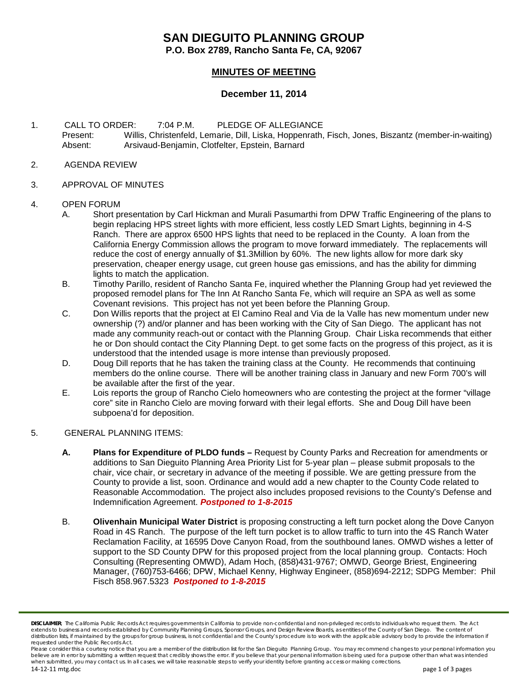# **SAN DIEGUITO PLANNING GROUP**

**P.O. Box 2789, Rancho Santa Fe, CA, 92067**

## **MINUTES OF MEETING**

### **December 11, 2014**

- 1. CALL TO ORDER: 7:04 P.M. PLEDGE OF ALLEGIANCE Present: Willis, Christenfeld, Lemarie, Dill, Liska, Hoppenrath, Fisch, Jones, Biszantz (member-in-waiting) Absent: Arsivaud-Benjamin, Clotfelter, Epstein, Barnard
- 2. AGENDA REVIEW
- 3. APPROVAL OF MINUTES

#### 4. OPEN FORUM

- A. Short presentation by Carl Hickman and Murali Pasumarthi from DPW Traffic Engineering of the plans to begin replacing HPS street lights with more efficient, less costly LED Smart Lights, beginning in 4-S Ranch. There are approx 6500 HPS lights that need to be replaced in the County. A loan from the California Energy Commission allows the program to move forward immediately. The replacements will reduce the cost of energy annually of \$1.3Million by 60%. The new lights allow for more dark sky preservation, cheaper energy usage, cut green house gas emissions, and has the ability for dimming lights to match the application.
- B. Timothy Parillo, resident of Rancho Santa Fe, inquired whether the Planning Group had yet reviewed the proposed remodel plans for The Inn At Rancho Santa Fe, which will require an SPA as well as some Covenant revisions. This project has not yet been before the Planning Group.
- C. Don Willis reports that the project at El Camino Real and Via de la Valle has new momentum under new ownership (?) and/or planner and has been working with the City of San Diego. The applicant has not made any community reach-out or contact with the Planning Group. Chair Liska recommends that either he or Don should contact the City Planning Dept. to get some facts on the progress of this project, as it is understood that the intended usage is more intense than previously proposed.
- D. Doug Dill reports that he has taken the training class at the County. He recommends that continuing members do the online course. There will be another training class in January and new Form 700's will be available after the first of the year.
- E. Lois reports the group of Rancho Cielo homeowners who are contesting the project at the former "village core" site in Rancho Cielo are moving forward with their legal efforts. She and Doug Dill have been subpoena'd for deposition.
- 5. GENERAL PLANNING ITEMS:
	- **A. Plans for Expenditure of PLDO funds –** Request by County Parks and Recreation for amendments or additions to San Dieguito Planning Area Priority List for 5-year plan – please submit proposals to the chair, vice chair, or secretary in advance of the meeting if possible. We are getting pressure from the County to provide a list, soon. Ordinance and would add a new chapter to the County Code related to Reasonable Accommodation. The project also includes proposed revisions to the County's Defense and Indemnification Agreement. *Postponed to 1-8-2015*
	- B. **Olivenhain Municipal Water District** is proposing constructing a left turn pocket along the Dove Canyon Road in 4S Ranch. The purpose of the left turn pocket is to allow traffic to turn into the 4S Ranch Water Reclamation Facility, at 16595 Dove Canyon Road, from the southbound lanes. OMWD wishes a letter of support to the SD County DPW for this proposed project from the local planning group. Contacts: Hoch Consulting (Representing OMWD), Adam Hoch, (858)431-9767; OMWD, George Briest, Engineering Manager, (760)753-6466; DPW, Michael Kenny, Highway Engineer, (858)694-2212; SDPG Member: Phil Fisch 858.967.5323 *Postponed to 1-8-2015*

*DISCLAIMER; The California Public Records Act requires governments in California to provide non-confidential and non-privileged records to individuals who request them. The Act* extends to business and records established by Community Planning Groups, Sponsor Groups, and Design Review Boards, as entities of the County of San Diego. The content of distribution lists, if maintained by the groups for group business, is not confidential and the County's procedure is to work with the applicable advisory body to provide the information if *requested under the Public Records Act.*

*Please consider this a courtesy notice that you are a member of the distribution list for the San Dieguito Planning Group. You may recommend changes to your personal information you*  believe are in error by submitting a written request that credibly shows the error. If you believe that your personal information is being used for a purpose other than what was intended *when submitted, you may contact us. In all cases, we will take reasonable steps to verify your identity before granting access or making corrections.*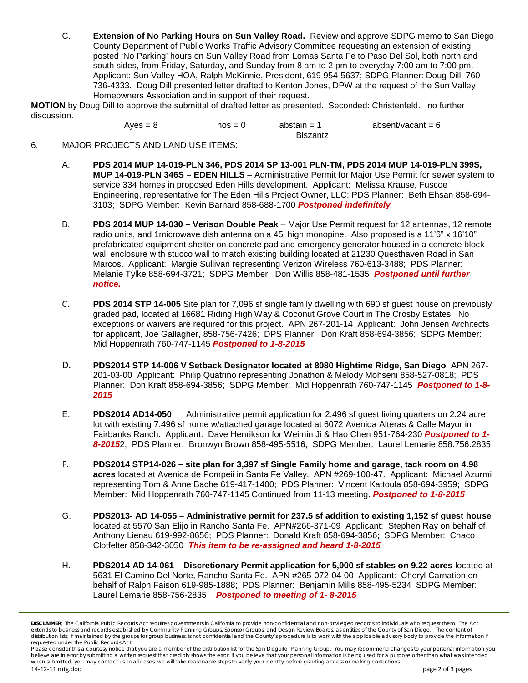C. **Extension of No Parking Hours on Sun Valley Road.** Review and approve SDPG memo to San Diego County Department of Public Works Traffic Advisory Committee requesting an extension of existing posted 'No Parking' hours on Sun Valley Road from Lomas Santa Fe to Paso Del Sol, both north and south sides, from Friday, Saturday, and Sunday from 8 am to 2 pm to everyday 7:00 am to 7:00 pm. Applicant: Sun Valley HOA, Ralph McKinnie, President, 619 954-5637; SDPG Planner: Doug Dill, 760 736-4333. Doug Dill presented letter drafted to Kenton Jones, DPW at the request of the Sun Valley Homeowners Association and in support of their request.

**MOTION** by Doug Dill to approve the submittal of drafted letter as presented. Seconded: Christenfeld. no further discussion.

 $Aves = 8$  nos = 0 abstain = 1 absent/vacant = 6

Biszantz

- 6. MAJOR PROJECTS AND LAND USE ITEMS:
	- A. **PDS 2014 MUP 14-019-PLN 346, PDS 2014 SP 13-001 PLN-TM, PDS 2014 MUP 14-019-PLN 399S, MUP 14-019-PLN 346S – EDEN HILLS** – Administrative Permit for Major Use Permit for sewer system to service 334 homes in proposed Eden Hills development. Applicant: Melissa Krause, Fuscoe Engineering, representative for The Eden Hills Project Owner, LLC; PDS Planner: Beth Ehsan 858-694- 3103; SDPG Member: Kevin Barnard 858-688-1700 *Postponed indefinitely*
	- B. **PDS 2014 MUP 14-030 – Verison Double Peak** Major Use Permit request for 12 antennas, 12 remote radio units, and 1microwave dish antenna on a 45' high monopine. Also proposed is a 11'6" x 16'10" prefabricated equipment shelter on concrete pad and emergency generator housed in a concrete block wall enclosure with stucco wall to match existing building located at 21230 Questhaven Road in San Marcos. Applicant: Margie Sullivan representing Verizon Wireless 760-613-3488; PDS Planner: Melanie Tylke 858-694-3721; SDPG Member: Don Willis 858-481-1535 *Postponed until further notice.*
	- C. **PDS 2014 STP 14-005** Site plan for 7,096 sf single family dwelling with 690 sf guest house on previously graded pad, located at 16681 Riding High Way & Coconut Grove Court in The Crosby Estates. No exceptions or waivers are required for this project. APN 267-201-14 Applicant: John Jensen Architects for applicant, Joe Gallagher, 858-756-7426; DPS Planner: Don Kraft 858-694-3856; SDPG Member: Mid Hoppenrath 760-747-1145 *Postponed to 1-8-2015*
	- D. **PDS2014 STP 14-006 V Setback Designator located at 8080 Hightime Ridge, San Diego** APN 267- 201-03-00 Applicant: Philip Quatrino representing Jonathon & Melody Mohseni 858-527-0818; PDS Planner: Don Kraft 858-694-3856; SDPG Member: Mid Hoppenrath 760-747-1145 *Postponed to 1-8- 2015*
	- E. **PDS2014 AD14-050** Administrative permit application for 2,496 sf guest living quarters on 2.24 acre lot with existing 7,496 sf home w/attached garage located at 6072 Avenida Alteras & Calle Mayor in Fairbanks Ranch. Applicant: Dave Henrikson for Weimin Ji & Hao Chen 951-764-230 *Postponed to 1- 8-2015*2; PDS Planner: Bronwyn Brown 858-495-5516; SDPG Member: Laurel Lemarie 858.756.2835
	- F. **PDS2014 STP14-026 – site plan for 3,397 sf Single Family home and garage, tack room on 4.98 acres** located at Avenida de Pompeii in Santa Fe Valley. APN #269-100-47. Applicant: Michael Azurmi representing Tom & Anne Bache 619-417-1400; PDS Planner: Vincent Kattoula 858-694-3959; SDPG Member: Mid Hoppenrath 760-747-1145 Continued from 11-13 meeting. *Postponed to 1-8-2015*
	- G. **PDS2013- AD 14-055 – Administrative permit for 237.5 sf addition to existing 1,152 sf guest house** located at 5570 San Elijo in Rancho Santa Fe. APN#266-371-09 Applicant: Stephen Ray on behalf of Anthony Lienau 619-992-8656; PDS Planner: Donald Kraft 858-694-3856; SDPG Member: Chaco Clotfelter 858-342-3050 *This item to be re-assigned and heard 1-8-2015*
	- H. **PDS2014 AD 14-061 – Discretionary Permit application for 5,000 sf stables on 9.22 acres** located at 5631 El Camino Del Norte, Rancho Santa Fe. APN #265-072-04-00 Applicant: Cheryl Carnation on behalf of Ralph Faison 619-985-1888; PDS Planner: Benjamin Mills 858-495-5234 SDPG Member: Laurel Lemarie 858-756-2835 *Postponed to meeting of 1- 8-2015*

*DISCLAIMER; The California Public Records Act requires governments in California to provide non-confidential and non-privileged records to individuals who request them. The Act* extends to business and records established by Community Planning Groups, Sponsor Groups, and Design Review Boards, as entities of the County of San Diego. The content of distribution lists, if maintained by the groups for group business, is not confidential and the County's procedure is to work with the applicable advisory body to provide the information if *requested under the Public Records Act.*

*Please consider this a courtesy notice that you are a member of the distribution list for the San Dieguito Planning Group. You may recommend changes to your personal information you*  believe are in error by submitting a written request that credibly shows the error. If you believe that your personal information is being used for a purpose other than what was intended *when submitted, you may contact us. In all cases, we will take reasonable steps to verify your identity before granting access or making corrections.*